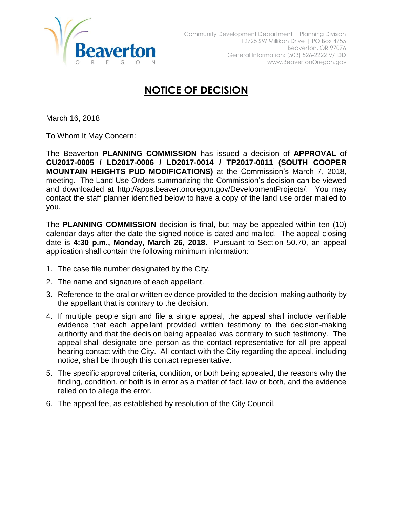

## **NOTICE OF DECISION**

March 16, 2018

To Whom It May Concern:

The Beaverton **PLANNING COMMISSION** has issued a decision of **APPROVAL** of **CU2017-0005 / LD2017-0006 / LD2017-0014 / TP2017-0011 (SOUTH COOPER MOUNTAIN HEIGHTS PUD MODIFICATIONS)** at the Commission's March 7, 2018, meeting. The Land Use Orders summarizing the Commission's decision can be viewed and downloaded at [http://apps.beavertonoregon.gov/DevelopmentProjects/.](http://apps.beavertonoregon.gov/DevelopmentProjects/) You may contact the staff planner identified below to have a copy of the land use order mailed to you.

The **PLANNING COMMISSION** decision is final, but may be appealed within ten (10) calendar days after the date the signed notice is dated and mailed. The appeal closing date is **4:30 p.m., Monday, March 26, 2018.** Pursuant to Section 50.70, an appeal application shall contain the following minimum information:

- 1. The case file number designated by the City.
- 2. The name and signature of each appellant.
- 3. Reference to the oral or written evidence provided to the decision-making authority by the appellant that is contrary to the decision.
- 4. If multiple people sign and file a single appeal, the appeal shall include verifiable evidence that each appellant provided written testimony to the decision-making authority and that the decision being appealed was contrary to such testimony. The appeal shall designate one person as the contact representative for all pre-appeal hearing contact with the City. All contact with the City regarding the appeal, including notice, shall be through this contact representative.
- 5. The specific approval criteria, condition, or both being appealed, the reasons why the finding, condition, or both is in error as a matter of fact, law or both, and the evidence relied on to allege the error.
- 6. The appeal fee, as established by resolution of the City Council.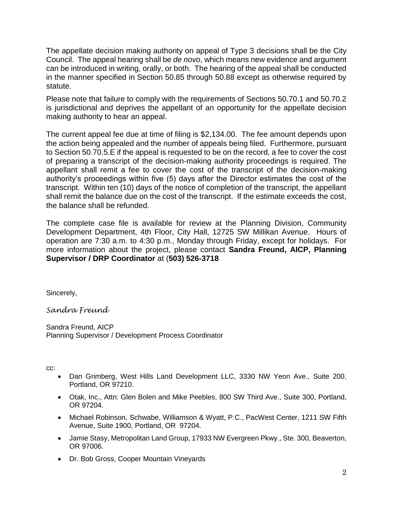The appellate decision making authority on appeal of Type 3 decisions shall be the City Council. The appeal hearing shall be *de novo*, which means new evidence and argument can be introduced in writing, orally, or both. The hearing of the appeal shall be conducted in the manner specified in Section 50.85 through 50.88 except as otherwise required by statute.

Please note that failure to comply with the requirements of Sections 50.70.1 and 50.70.2 is jurisdictional and deprives the appellant of an opportunity for the appellate decision making authority to hear an appeal.

The current appeal fee due at time of filing is \$2,134.00. The fee amount depends upon the action being appealed and the number of appeals being filed. Furthermore, pursuant to Section 50.70.5.E if the appeal is requested to be on the record, a fee to cover the cost of preparing a transcript of the decision-making authority proceedings is required. The appellant shall remit a fee to cover the cost of the transcript of the decision-making authority's proceedings within five (5) days after the Director estimates the cost of the transcript. Within ten (10) days of the notice of completion of the transcript, the appellant shall remit the balance due on the cost of the transcript. If the estimate exceeds the cost, the balance shall be refunded.

The complete case file is available for review at the Planning Division, Community Development Department, 4th Floor, City Hall, 12725 SW Millikan Avenue. Hours of operation are 7:30 a.m. to 4:30 p.m., Monday through Friday, except for holidays. For more information about the project, please contact **Sandra Freund, AICP, Planning Supervisor / DRP Coordinator** at (**503) 526-3718**

Sincerely,

*Sandra Freund*

Sandra Freund, AICP Planning Supervisor / Development Process Coordinator

cc:

- Dan Grimberg, West Hills Land Development LLC, 3330 NW Yeon Ave., Suite 200, Portland, OR 97210.
- Otak, Inc., Attn: Glen Bolen and Mike Peebles, 800 SW Third Ave., Suite 300, Portland, OR 97204.
- Michael Robinson, Schwabe, Williamson & Wyatt, P.C., PacWest Center, 1211 SW Fifth Avenue, Suite 1900, Portland, OR 97204.
- Jamie Stasy, Metropolitan Land Group, 17933 NW Evergreen Pkwy., Ste. 300, Beaverton, OR 97006.
- Dr. Bob Gross, Cooper Mountain Vineyards